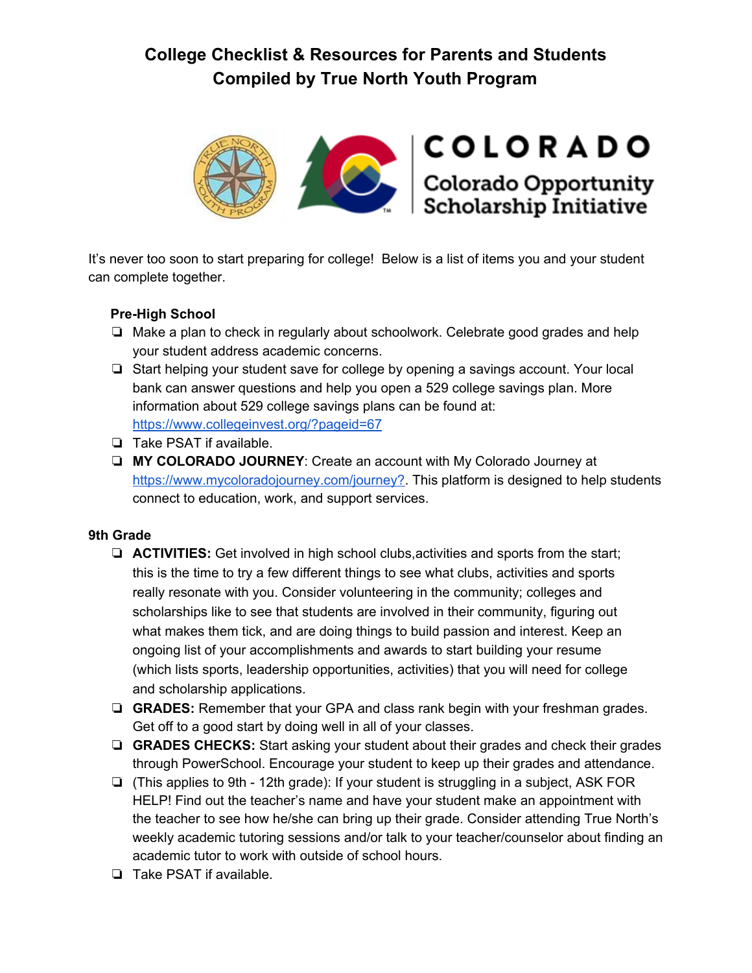

It's never too soon to start preparing for college! Below is a list of items you and your student can complete together.

# **Pre-High School**

- ❏ Make a plan to check in regularly about schoolwork. Celebrate good grades and help your student address academic concerns.
- ❏ Start helping your student save for college by opening a savings account. Your local bank can answer questions and help you open a 529 college savings plan. More information about 529 college savings plans can be found at: <https://www.collegeinvest.org/?pageid=67>
- ❏ Take PSAT if available.
- ❏ **MY COLORADO JOURNEY**: Create an account with My Colorado Journey at [https://www.mycoloradojourney.com/journey?.](https://www.mycoloradojourney.com/journey?) This platform is designed to help students connect to education, work, and support services.

### **9th Grade**

- ❏ **ACTIVITIES:** Get involved in high school clubs,activities and sports from the start; this is the time to try a few different things to see what clubs, activities and sports really resonate with you. Consider volunteering in the community; colleges and scholarships like to see that students are involved in their community, figuring out what makes them tick, and are doing things to build passion and interest. Keep an ongoing list of your accomplishments and awards to start building your resume (which lists sports, leadership opportunities, activities) that you will need for college and scholarship applications.
- ❏ **GRADES:** Remember that your GPA and class rank begin with your freshman grades. Get off to a good start by doing well in all of your classes.
- ❏ **GRADES CHECKS:** Start asking your student about their grades and check their grades through PowerSchool. Encourage your student to keep up their grades and attendance.
- ❏ (This applies to 9th 12th grade): If your student is struggling in a subject, ASK FOR HELP! Find out the teacher's name and have your student make an appointment with the teacher to see how he/she can bring up their grade. Consider attending True North's weekly academic tutoring sessions and/or talk to your teacher/counselor about finding an academic tutor to work with outside of school hours.
- ❏ Take PSAT if available.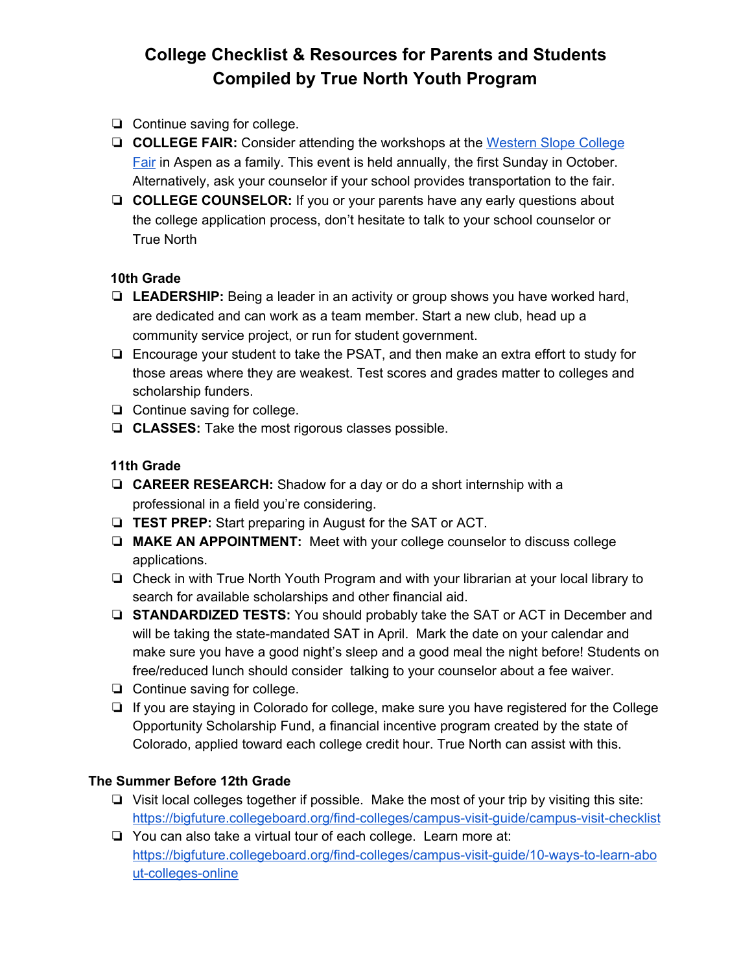- ❏ Continue saving for college.
- ❏ **COLLEGE FAIR:** Consider attending the workshops at the [Western](http://www.cwscollegefair.org/) Slope College [Fair](http://www.cwscollegefair.org/) in Aspen as a family. This event is held annually, the first Sunday in October. Alternatively, ask your counselor if your school provides transportation to the fair.
- ❏ **COLLEGE COUNSELOR:** If you or your parents have any early questions about the college application process, don't hesitate to talk to your school counselor or True North

### **10th Grade**

- ❏ **LEADERSHIP:** Being a leader in an activity or group shows you have worked hard, are dedicated and can work as a team member. Start a new club, head up a community service project, or run for student government.
- ❏ Encourage your student to take the PSAT, and then make an extra effort to study for those areas where they are weakest. Test scores and grades matter to colleges and scholarship funders.
- ❏ Continue saving for college.
- ❏ **CLASSES:** Take the most rigorous classes possible.

#### **11th Grade**

- ❏ **CAREER RESEARCH:** Shadow for a day or do a short internship with a professional in a field you're considering.
- ❏ **TEST PREP:** Start preparing in August for the SAT or ACT.
- ❏ **MAKE AN APPOINTMENT:** Meet with your college counselor to discuss college applications.
- ❏ Check in with True North Youth Program and with your librarian at your local library to search for available scholarships and other financial aid.
- ❏ **STANDARDIZED TESTS:** You should probably take the SAT or ACT in December and will be taking the state-mandated SAT in April. Mark the date on your calendar and make sure you have a good night's sleep and a good meal the night before! Students on free/reduced lunch should consider talking to your counselor about a fee waiver.
- ❏ Continue saving for college.
- ❏ If you are staying in Colorado for college, make sure you have registered for the College Opportunity Scholarship Fund, a financial incentive program created by the state of Colorado, applied toward each college credit hour. True North can assist with this.

#### **The Summer Before 12th Grade**

- ❏ Visit local colleges together if possible. Make the most of your trip by visiting this site: <https://bigfuture.collegeboard.org/find-colleges/campus-visit-guide/campus-visit-checklist>
- ❏ You can also take a virtual tour of each college. Learn more at: [https://bigfuture.collegeboard.org/find-colleges/campus-visit-guide/10-ways-to-learn-abo](https://bigfuture.collegeboard.org/find-colleges/campus-visit-guide/10-ways-to-learn-about-colleges-online) [ut-colleges-online](https://bigfuture.collegeboard.org/find-colleges/campus-visit-guide/10-ways-to-learn-about-colleges-online)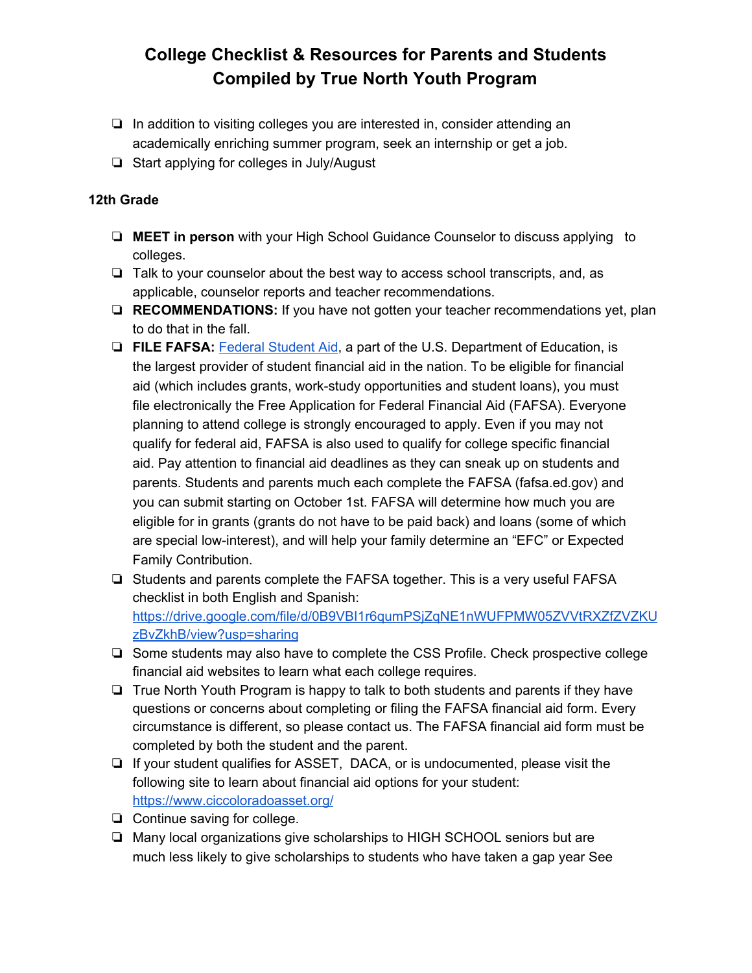- ❏ In addition to visiting colleges you are interested in, consider attending an academically enriching summer program, seek an internship or get a job.
- ❏ Start applying for colleges in July/August

### **12th Grade**

- ❏ **MEET in person** with your High School Guidance Counselor to discuss applying to colleges.
- ❏ Talk to your counselor about the best way to access school transcripts, and, as applicable, counselor reports and teacher recommendations.
- ❏ **RECOMMENDATIONS:** If you have not gotten your teacher recommendations yet, plan to do that in the fall.
- ❏ **FILE FAFSA:** Federal [Student](https://studentaid.ed.gov/about) Aid, a part of the U.S. Department of Education, is the largest provider of student financial aid in the nation. To be eligible for financial aid (which includes grants, work-study opportunities and student loans), you must file electronically the Free Application for Federal Financial Aid (FAFSA). Everyone planning to attend college is strongly encouraged to apply. Even if you may not qualify for federal aid, FAFSA is also used to qualify for college specific financial aid. Pay attention to financial aid deadlines as they can sneak up on students and parents. Students and parents much each complete the FAFSA (fafsa.ed.gov) and you can submit starting on October 1st. FAFSA will determine how much you are eligible for in grants (grants do not have to be paid back) and loans (some of which are special low-interest), and will help your family determine an "EFC" or Expected Family Contribution.
- ❏ Students and parents complete the FAFSA together. This is a very useful FAFSA checklist in both English and Spanish: [https://drive.google.com/file/d/0B9VBI1r6qumPSjZqNE1nWUFPMW05ZVVtRXZfZVZKU](https://drive.google.com/file/d/0B9VBI1r6qumPSjZqNE1nWUFPMW05ZVVtRXZfZVZKUzBvZkhB/view?usp=sharing) [zBvZkhB/view?usp=sharing](https://drive.google.com/file/d/0B9VBI1r6qumPSjZqNE1nWUFPMW05ZVVtRXZfZVZKUzBvZkhB/view?usp=sharing)
- ❏ Some students may also have to complete the CSS Profile. Check prospective college financial aid websites to learn what each college requires.
- ❏ True North Youth Program is happy to talk to both students and parents if they have questions or concerns about completing or filing the FAFSA financial aid form. Every circumstance is different, so please contact us. The FAFSA financial aid form must be completed by both the student and the parent.
- ❏ If your student qualifies for ASSET, DACA, or is undocumented, please visit the following site to learn about financial aid options for your student: <https://www.ciccoloradoasset.org/>
- ❏ Continue saving for college.
- ❏ Many local organizations give scholarships to HIGH SCHOOL seniors but are much less likely to give scholarships to students who have taken a gap year See